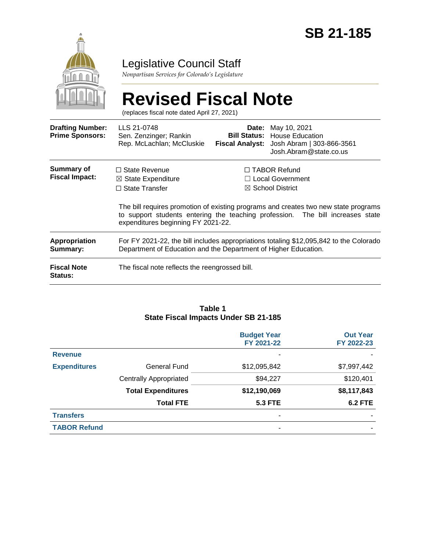

# Legislative Council Staff

*Nonpartisan Services for Colorado's Legislature*

|                                                   | <b>Revised Fiscal Note</b><br>(replaces fiscal note dated April 27, 2021)                                                                                                                                   |                                                        |                                                                                               |  |
|---------------------------------------------------|-------------------------------------------------------------------------------------------------------------------------------------------------------------------------------------------------------------|--------------------------------------------------------|-----------------------------------------------------------------------------------------------|--|
| <b>Drafting Number:</b><br><b>Prime Sponsors:</b> | LLS 21-0748<br>Sen. Zenzinger; Rankin<br>Rep. McLachlan; McCluskie                                                                                                                                          | Date:<br><b>Bill Status:</b><br><b>Fiscal Analyst:</b> | May 10, 2021<br><b>House Education</b><br>Josh Abram   303-866-3561<br>Josh.Abram@state.co.us |  |
| <b>Summary of</b><br><b>Fiscal Impact:</b>        | $\Box$ State Revenue<br>$\boxtimes$ State Expenditure<br>$\Box$ State Transfer                                                                                                                              | $\bowtie$                                              | $\Box$ TABOR Refund<br><b>Local Government</b><br><b>School District</b>                      |  |
|                                                   | The bill requires promotion of existing programs and creates two new state programs<br>to support students entering the teaching profession. The bill increases state<br>expenditures beginning FY 2021-22. |                                                        |                                                                                               |  |
| Appropriation<br>Summary:                         | For FY 2021-22, the bill includes appropriations totaling \$12,095,842 to the Colorado<br>Department of Education and the Department of Higher Education.                                                   |                                                        |                                                                                               |  |
| <b>Fiscal Note</b><br>Status:                     | The fiscal note reflects the reengrossed bill.                                                                                                                                                              |                                                        |                                                                                               |  |

#### **Table 1 State Fiscal Impacts Under SB 21-185**

|                     |                               | <b>Budget Year</b><br>FY 2021-22 | <b>Out Year</b><br>FY 2022-23 |
|---------------------|-------------------------------|----------------------------------|-------------------------------|
| <b>Revenue</b>      |                               |                                  |                               |
| <b>Expenditures</b> | <b>General Fund</b>           | \$12,095,842                     | \$7,997,442                   |
|                     | <b>Centrally Appropriated</b> | \$94,227                         | \$120,401                     |
|                     | <b>Total Expenditures</b>     | \$12,190,069                     | \$8,117,843                   |
|                     | <b>Total FTE</b>              | <b>5.3 FTE</b>                   | <b>6.2 FTE</b>                |
| <b>Transfers</b>    |                               | ٠                                |                               |
| <b>TABOR Refund</b> |                               | ٠                                |                               |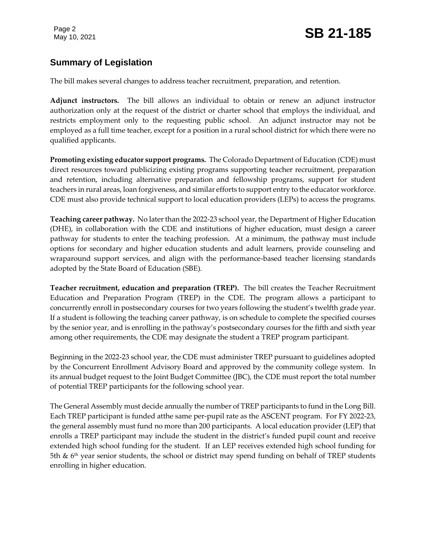# **Summary of Legislation**

The bill makes several changes to address teacher recruitment, preparation, and retention.

**Adjunct instructors.** The bill allows an individual to obtain or renew an adjunct instructor authorization only at the request of the district or charter school that employs the individual, and restricts employment only to the requesting public school. An adjunct instructor may not be employed as a full time teacher, except for a position in a rural school district for which there were no qualified applicants.

**Promoting existing educator support programs.** The Colorado Department of Education (CDE) must direct resources toward publicizing existing programs supporting teacher recruitment, preparation and retention, including alternative preparation and fellowship programs, support for student teachers in rural areas, loan forgiveness, and similar efforts to support entry to the educator workforce. CDE must also provide technical support to local education providers (LEPs) to access the programs.

**Teaching career pathway.** No later than the 2022-23 school year, the Department of Higher Education (DHE), in collaboration with the CDE and institutions of higher education, must design a career pathway for students to enter the teaching profession. At a minimum, the pathway must include options for secondary and higher education students and adult learners, provide counseling and wraparound support services, and align with the performance-based teacher licensing standards adopted by the State Board of Education (SBE).

**Teacher recruitment, education and preparation (TREP).** The bill creates the Teacher Recruitment Education and Preparation Program (TREP) in the CDE. The program allows a participant to concurrently enroll in postsecondary courses for two years following the student's twelfth grade year. If a student is following the teaching career pathway, is on schedule to complete the specified courses by the senior year, and is enrolling in the pathway's postsecondary courses for the fifth and sixth year among other requirements, the CDE may designate the student a TREP program participant.

Beginning in the 2022-23 school year, the CDE must administer TREP pursuant to guidelines adopted by the Concurrent Enrollment Advisory Board and approved by the community college system. In its annual budget request to the Joint Budget Committee (JBC), the CDE must report the total number of potential TREP participants for the following school year.

The General Assembly must decide annually the number of TREP participants to fund in the Long Bill. Each TREP participant is funded atthe same per-pupil rate as the ASCENT program. For FY 2022-23, the general assembly must fund no more than 200 participants. A local education provider (LEP) that enrolls a TREP participant may include the student in the district's funded pupil count and receive extended high school funding for the student. If an LEP receives extended high school funding for 5th  $\&$  6<sup>th</sup> year senior students, the school or district may spend funding on behalf of TREP students enrolling in higher education.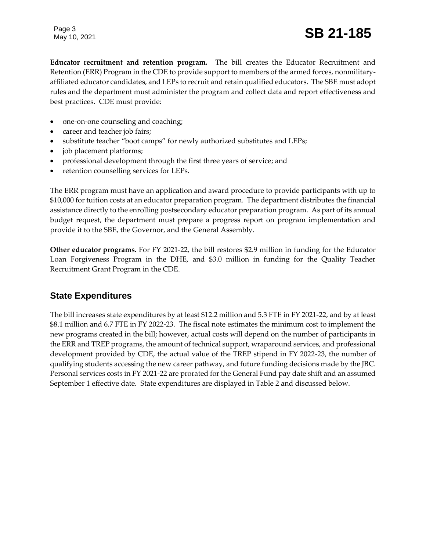Page 3

# May 10, 2021 **SB 21-185**

**Educator recruitment and retention program.** The bill creates the Educator Recruitment and Retention (ERR) Program in the CDE to provide support to members of the armed forces, nonmilitaryaffiliated educator candidates, and LEPs to recruit and retain qualified educators. The SBE must adopt rules and the department must administer the program and collect data and report effectiveness and best practices. CDE must provide:

- one-on-one counseling and coaching;
- career and teacher job fairs;
- substitute teacher "boot camps" for newly authorized substitutes and LEPs;
- job placement platforms;
- professional development through the first three years of service; and
- retention counselling services for LEPs.

The ERR program must have an application and award procedure to provide participants with up to \$10,000 for tuition costs at an educator preparation program. The department distributes the financial assistance directly to the enrolling postsecondary educator preparation program. As part of its annual budget request, the department must prepare a progress report on program implementation and provide it to the SBE, the Governor, and the General Assembly.

**Other educator programs.** For FY 2021-22, the bill restores \$2.9 million in funding for the Educator Loan Forgiveness Program in the DHE, and \$3.0 million in funding for the Quality Teacher Recruitment Grant Program in the CDE.

#### **State Expenditures**

The bill increases state expenditures by at least \$12.2 million and 5.3 FTE in FY 2021-22, and by at least \$8.1 million and 6.7 FTE in FY 2022-23. The fiscal note estimates the minimum cost to implement the new programs created in the bill; however, actual costs will depend on the number of participants in the ERR and TREP programs, the amount of technical support, wraparound services, and professional development provided by CDE, the actual value of the TREP stipend in FY 2022-23, the number of qualifying students accessing the new career pathway, and future funding decisions made by the JBC. Personal services costs in FY 2021-22 are prorated for the General Fund pay date shift and an assumed September 1 effective date. State expenditures are displayed in Table 2 and discussed below.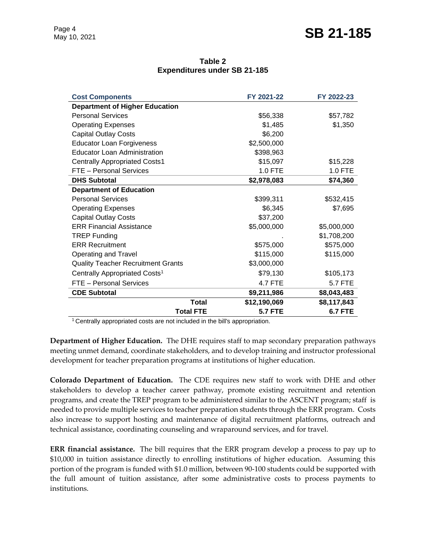| Table 2                             |  |  |  |  |  |
|-------------------------------------|--|--|--|--|--|
| <b>Expenditures under SB 21-185</b> |  |  |  |  |  |

| <b>Cost Components</b>                    | FY 2021-22     | FY 2022-23     |
|-------------------------------------------|----------------|----------------|
| <b>Department of Higher Education</b>     |                |                |
| <b>Personal Services</b>                  | \$56,338       | \$57,782       |
| <b>Operating Expenses</b>                 | \$1,485        | \$1,350        |
| <b>Capital Outlay Costs</b>               | \$6,200        |                |
| <b>Educator Loan Forgiveness</b>          | \$2,500,000    |                |
| Educator Loan Administration              | \$398,963      |                |
| <b>Centrally Appropriated Costs1</b>      | \$15,097       | \$15,228       |
| FTE - Personal Services                   | 1.0 FTE        | 1.0 FTE        |
| <b>DHS Subtotal</b>                       | \$2,978,083    | \$74,360       |
| <b>Department of Education</b>            |                |                |
| <b>Personal Services</b>                  | \$399,311      | \$532,415      |
| <b>Operating Expenses</b>                 | \$6,345        | \$7,695        |
| <b>Capital Outlay Costs</b>               | \$37,200       |                |
| <b>ERR Financial Assistance</b>           | \$5,000,000    | \$5,000,000    |
| <b>TREP Funding</b>                       |                | \$1,708,200    |
| <b>ERR Recruitment</b>                    | \$575,000      | \$575,000      |
| Operating and Travel                      | \$115,000      | \$115,000      |
| <b>Quality Teacher Recruitment Grants</b> | \$3,000,000    |                |
| Centrally Appropriated Costs <sup>1</sup> | \$79,130       | \$105,173      |
| FTE - Personal Services                   | <b>4.7 FTE</b> | 5.7 FTE        |
| <b>CDE Subtotal</b>                       | \$9,211,986    | \$8,043,483    |
| <b>Total</b>                              | \$12,190,069   | \$8,117,843    |
| <b>Total FTE</b>                          | <b>5.7 FTE</b> | <b>6.7 FTE</b> |

<sup>1</sup> Centrally appropriated costs are not included in the bill's appropriation.

**Department of Higher Education.** The DHE requires staff to map secondary preparation pathways meeting unmet demand, coordinate stakeholders, and to develop training and instructor professional development for teacher preparation programs at institutions of higher education.

**Colorado Department of Education.** The CDE requires new staff to work with DHE and other stakeholders to develop a teacher career pathway, promote existing recruitment and retention programs, and create the TREP program to be administered similar to the ASCENT program; staff is needed to provide multiple services to teacher preparation students through the ERR program. Costs also increase to support hosting and maintenance of digital recruitment platforms, outreach and technical assistance, coordinating counseling and wraparound services, and for travel.

**ERR financial assistance.** The bill requires that the ERR program develop a process to pay up to \$10,000 in tuition assistance directly to enrolling institutions of higher education. Assuming this portion of the program is funded with \$1.0 million, between 90-100 students could be supported with the full amount of tuition assistance, after some administrative costs to process payments to institutions.